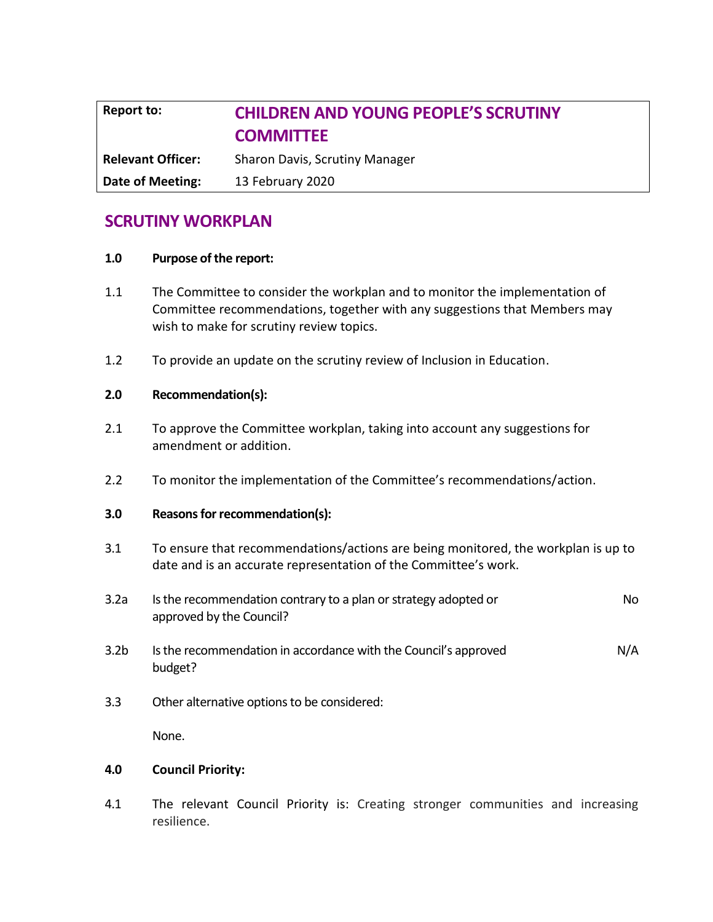# **Report to: CHILDREN AND YOUNG PEOPLE'S SCRUTINY COMMITTEE Relevant Officer:** Sharon Davis, Scrutiny Manager

**Date of Meeting:** 13 February 2020

## **SCRUTINY WORKPLAN**

#### **1.0 Purpose of the report:**

- 1.1 The Committee to consider the workplan and to monitor the implementation of Committee recommendations, together with any suggestions that Members may wish to make for scrutiny review topics.
- 1.2 To provide an update on the scrutiny review of Inclusion in Education.

#### **2.0 Recommendation(s):**

- 2.1 To approve the Committee workplan, taking into account any suggestions for amendment or addition.
- 2.2 To monitor the implementation of the Committee's recommendations/action.

#### **3.0 Reasons for recommendation(s):**

- 3.1 To ensure that recommendations/actions are being monitored, the workplan is up to date and is an accurate representation of the Committee's work.
- 3.2a Is the recommendation contrary to a plan or strategy adopted or approved by the Council? No
- 3.2b Is the recommendation in accordance with the Council's approved budget? N/A
- 3.3 Other alternative options to be considered:

None.

#### **4.0 Council Priority:**

4.1 The relevant Council Priority is: Creating stronger communities and increasing resilience.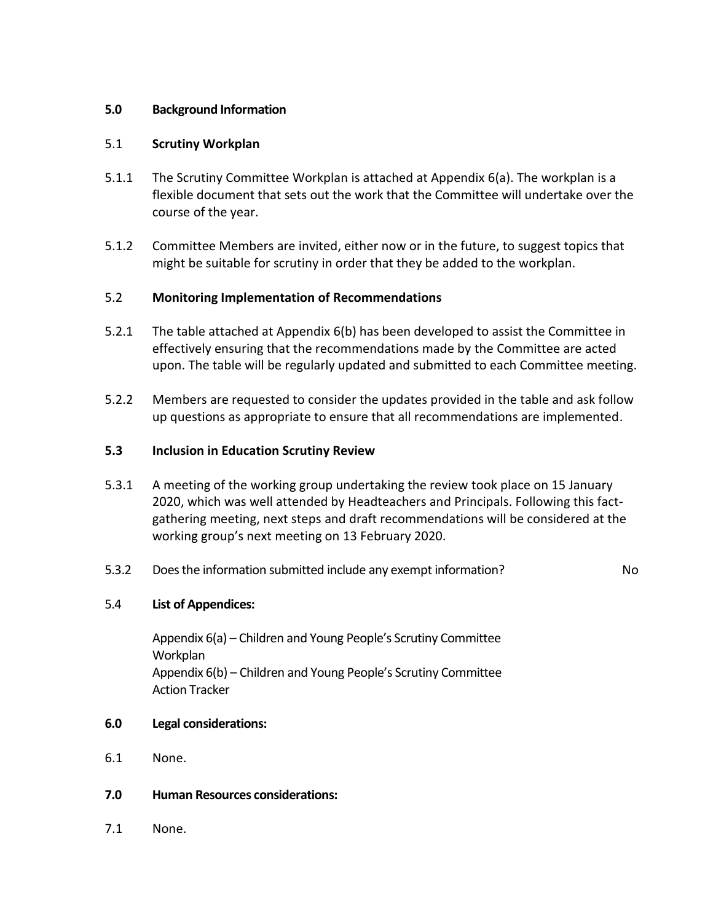### **5.0 Background Information**

#### 5.1 **Scrutiny Workplan**

- 5.1.1 The Scrutiny Committee Workplan is attached at Appendix 6(a). The workplan is a flexible document that sets out the work that the Committee will undertake over the course of the year.
- 5.1.2 Committee Members are invited, either now or in the future, to suggest topics that might be suitable for scrutiny in order that they be added to the workplan.

#### 5.2 **Monitoring Implementation of Recommendations**

- 5.2.1 The table attached at Appendix 6(b) has been developed to assist the Committee in effectively ensuring that the recommendations made by the Committee are acted upon. The table will be regularly updated and submitted to each Committee meeting.
- 5.2.2 Members are requested to consider the updates provided in the table and ask follow up questions as appropriate to ensure that all recommendations are implemented.

#### **5.3 Inclusion in Education Scrutiny Review**

- 5.3.1 A meeting of the working group undertaking the review took place on 15 January 2020, which was well attended by Headteachers and Principals. Following this factgathering meeting, next steps and draft recommendations will be considered at the working group's next meeting on 13 February 2020.
- 5.3.2 Does the information submitted include any exempt information? No

### 5.4 **List of Appendices:**

Appendix 6(a) – Children and Young People's Scrutiny Committee **Workplan** Appendix 6(b) – Children and Young People's Scrutiny Committee Action Tracker

#### **6.0 Legal considerations:**

- 6.1 None.
- **7.0 Human Resources considerations:**
- 7.1 None.